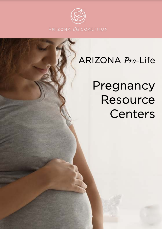

# ARIZONA Pro-Life

# Pregnancy **Resource Centers**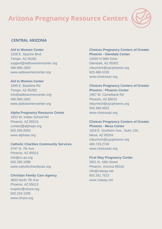

## **CENTRAL ARIZONA**

#### **Aid to Women Center**

1328 E. Apache Blvd Tempe, AZ 85281 support@aidtowomencenter.org 480.966.1902 www.aidtowomencenter.org

#### **Aid to Women Center**

1849 E. Baseline Rd Tempe, AZ 85283 info@aidtowomencenter.org 480.966.1902 www.aidtowomencenter.org

#### **Alpha Pregnancy Resource Center**

1822 W. Indian School Rd Phoenix, AZ 85015 contact@alphaaz.org 602.285.0050 www.alphaaz.org

#### **Catholic Charities Community Services**

4747 N. 7th Ave. Phoenix, AZ 85013 info@cc-az.org 602.285.1999 www.catholiccharitiesaz.org

#### **Christian Family Care Agency**

3603 North 7th Ave Phoenix, AZ 85013 mupton@cfcare.org 602.234.1935 www.cfcare.org

**Choices Pregnancy Centers of Greater Phoenix - Glendale Center** 10555 N 58th Drive Glendale, AZ 85302 mburmich@cpcphoenix.org 623.486.5232 www.choicesaz.org

## **Choices Pregnancy Centers of Greater Phoenix - Phoenix Center** 1907 W. Camelback Rd Phoenix, AZ 85015

mburmich@cpcphoenix.org 602.368.4922 www.choicesaz.org

#### **Choices Pregnancy Centers of Greater Phoenix - Mesa Center**

1818 E. Southern Ave., Suite 13A Mesa, AZ 85204 mburmich@cpcphoenix.org 480.733.2740 www.choicesaz.org

#### **First Way Pregnancy Center**

3501 N. 16th Street Phoenix, Arizona 85016 info@1stway.net 602.261.7522 www.1stway.net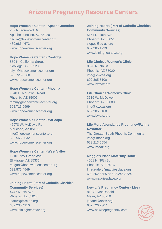#### **Hope Women's Center - Apache Junction**

252 N. Ironwood Dr Apache Junction, AZ 85220 cecilia@hopewomenscenter.org 480.983.4673 www.hopewomenscenter.org

# **Hope Women's Center - Coolidge**

850 N. California Street Coolidge, AZ 85128 jolyn@hopewomenscenter.org 520.723-8888 www.hopewomenscenter.org

#### **Hope Women's Center - Phoenix** 1640 E. McDowell Road

Phoenix, AZ 85006 tammy@hopewomenscenter.org 602.715.0999 www.hopewomenscenter.org

### **Hope Women's Center - Maricopa** 45978 W. McDavid Rd Maricopa, AZ 85139 info@hopewomenscenter.org 520.568.0532 www.hopewomenscenter.org

#### **Hope Women's Center - West Valley**

12101 NW Grand Ave El Mirage, AZ 85335 megan@hopewomenscenter.org 623.875.4549 www.hopewomenscenter.org

#### **Joining Hearts (Part of Catholic Charities Community Services)**

4747 N. 7th Ave Phoenix, AZ 85013 jhartwig@cc-az.org 602.230.4910 www.joiningheartsaz.org

## **Joining Hearts (Part of Catholic Charities Community Services)**

5151 N. 19th Ave Phoenix, AZ 85051 vlopez@cc-az.org 602.285.1999 www.joiningheartsaz.org

**Life Choices Women's Clinic** 8326 N. 7th St Phoenix, AZ 85020 info@lcwcaz.org 602.305.5100 www.lcwcaz.org

**Life Choices Women's Clinic** 3516 W. McDowell Phoenix, AZ 85009 info@lcwcaz.org 602.305.5100 www.lcwcaz.org

#### **Life More Abundantly Pregnancy/Family Resource** The Greater South Phoenix Community info@lmaaz.org 623.213.5554

www.lmaaz.org

#### **Maggie's Place Maternity Home** 4001 N. 30th St Phoenix, AZ 85016

Imagruder@maggiesplace.org 602.262.5555 or 602.246.3724 www.maggiesplace.org

#### **New Life Pregnancy Center - Mesa**

819 S. MacDonald Mesa, AZ 85210 jdoane@abcs.org 602.726.2307 www.newlifepregnancy.com

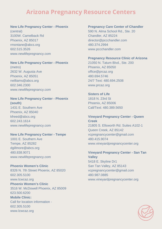#### **New Life Pregnancy Center - Phoenix**

(central) 3100W. Camelback Rd Phoenix, AZ 85017 rmontane@abcs.org 602.515.3526 www.newlifepregnancy.com

#### **New Life Pregnancy Center - Phoenix**

(metro) 2632 W. Augusta Ave Phoenix, AZ 85051 rwilliams@abcs.org 602.346.2300 www.newlifepregnancy.com

## **New Life Pregnancy Center - Phoenix**

**(south)** 1431 E. Southern Ave Phoenix, AZ 85040 kfreed@abcs.org 602.243.1614 www.newlifepregnancy.com

#### **New Life Pregnancy Center - Tempe**

1001 E. Southern Ave Tempe, AZ 85282 dgillmore@abcs.org 480.838.9071 www.newlifepregnancy.com

#### **Phoenix Women's Clinic**

8326 N. 7th Street Phoenix, AZ 85020 602.305.5100 www.lcwcaz.org **Phoenix Women's Clinic** 3516 W. McDowell Phoenix, AZ 85009 623.500.6200 **Mobile Clinic:** Call for location information - 602.305.5100 www.lcwcaz.org

#### **Pregnancy Care Center of Chandler**

590 N. Alma School Rd., Ste. 20 Chandler, AZ 85224 director@pccchandler.com 480.374.2994 www.pccchandler.com

#### **Pregnancy Resource Clinic of Arizona**

21050 N. Tatum Blvd., Ste. 200 Phoenix, AZ 85050 office@prcaz.org 480.694.5746 24/7 Text: 480.694.2508 www.prcaz.org

#### **Sisters of Life**

1818 N. 23rd St Phoenix, AZ 85006 Call/Text: 480.389.5650

#### **Vineyard Pregnancy Center - Queen Creek**

21805 S. Ellsworth Rd. Suites A102-1 Queen Creek, AZ 85142 vcpregnancycenter@gmail.com 480.415.9074 www.vineyardpregnancycenter.org

#### **Vineyard Pregnancy Center - San Tan**

**Valley** 5418 E. Skyline Dr1 San Tan Valley, AZ 85143 vcpregnancycenter@gmail.com 480.987.0885 www.vineyardpregnancycenter.org

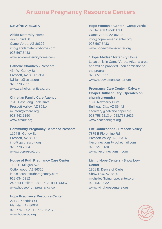#### **N/NW/NE ARIZONA**

#### **Abide Maternity Home**

499 S. 2nd St Camp Verde, AZ 86322 info@abidematernityhome.com 928.567.5433 www.abidematernityhome.com

#### **Catholic Charities - Prescott**

434 W. Gurley St Prescott, AZ 86301-3616 jwilliams@cc-az.org 928.778.2531 www.catholiccharitiesaz.org

#### **Christian Family Care Agency**

7515 East Long Look Drive Prescott Valley, AZ 86314 mupton@cfcare.org 928.443.1150 www.cfcare.org

#### **Community Pregnancy Center of Prescott**

1124 E. Gurley St Prescott, AZ 86301 info@cpcprescott.org 928.778.7654 www.cpcprescott.org

#### **House of Ruth Pregnancy Care Center**

1198 E. Mingus Ave Cottonwood, AZ 86326 info@houseofruthpregnancy.com 928.634.0212 24-hour Hotline: 1.800.712-HELP (4357) www.houseofruthpregnancy.com

#### **Hope Pregnancy Resource Center** 224 S. Kendrick St

Flagstaff, AZ 86001 928.774.8302 1.877.205.2178 www.hopecpc.org

#### **Hope Women's Center - Camp Verde**

77 General Crook Trail Camp Verde, AZ 86322 info@hopewomenscenter.org 928.567.5433 www.hopewomenscenter.org

## **"Hope Abides" Maternity Home**

Location is in Camp Verde, Arizona area and will be provided upon admission to the program 928.651.9311 www.hopewomenscenter.org

## **Pregnancy Care Center - Calvary Chapel Bullhead City (Operates on church grounds)** 1690 Newberry Drive Bullhead City, AZ 86442 secretary@calvarychapel.org 928.758.5213 or 928.758.2636 www.ccdesertlight.org

#### **Life Connections - Prescott Valley**

7875 E Florentine Rd Prescott Valley, AZ 86314 lifeconnections@rocketmail.com 928.227.3130 www.lifeconnectionsrr.com

## **Living Hope Centers - Show Low Center**

1901 E. Deuce of Clubs Show Low, AZ 85901 michelle@livinghopecenter.org 928.537.9032 www.livinghopecenters.org

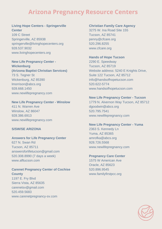#### **Living Hope Centers - Springerville Center**

109 C Street Springerville, AZ 85938 springerville@livinghopecenters.org 928.537.9032 www.livinghopecenters.org

#### **New Life Pregnancy Center -**

**Wickenburg (Arizona Baptist Christian Services)** 73 S. Tegner St Wickenburg, AZ 85390 lmorrison@abcs.org 928.668.1450 www.newlifepregnancy.com

#### **New Life Pregnancy Center - Winslow**

411 N. Warren Ave Winslow, AZ 86047 928.386.6913 www.newlifepregnancy.com

#### **S/SW/SE ARIZONA**

#### **Answers for Life Pregnancy Center**

627 N. Swan Rd Tucson, AZ 85711 answersforlifetucson@gmail.com 520.308.8990 (7 days a week) www.afltucson.com

#### **Carenet Pregnancy Center of Cochise County** 1197 E. Fry Blvd Sierra Vista, AZ 85635

carenetsv@gmail.com 520.459.5683 www.carenetpregnancy-sv.com

## **Christian Family Care Agency** 3275 W. Ina Road Site 155

Tucson, AZ 85741 penny@cfcare.org 520.296.8255 www.cfcare.org

#### **Hands of Hope Tucson**

2290 E. Speedway Tucson, AZ 85719 Website address: 5240 E Knights Drive, Suite 122 Tucson, AZ 85712 info@handsofhopetucson.com 520.622-5774 www.handsofhopetucson.com

#### **New Life Pregnancy Center - Tucson**

1779 N. Alvernon Way Tucson, AZ 85712 dgoodwin@abcs.org 520.795.7541 www.newlifepregnancy.com

#### **New Life Pregnancy Center - Yuma**

2363 S. Kennedy Ln Yuma, AZ 85365 amrofka@abcs.org 928.726.5568 www.newlifepregnancy.com

#### **Pregnancy Care Center**

1575 W American Ave Oracle, AZ 85623 520.896.9545 www.familyfirstpcc.org